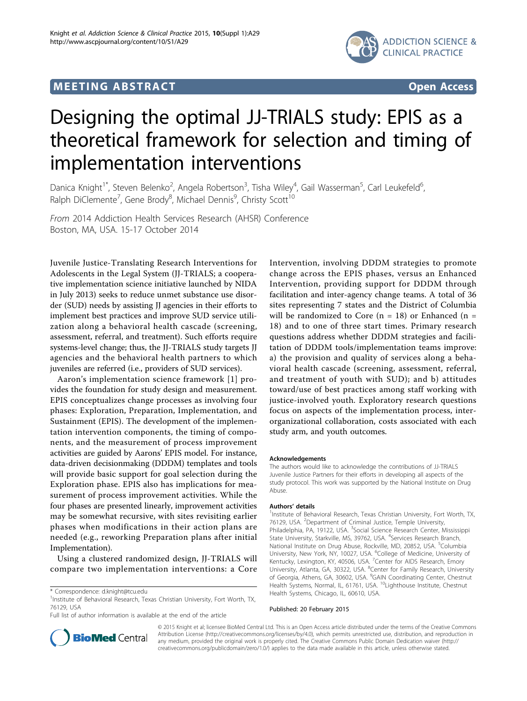# **MEETING ABSTRACT ACCESS**



# Designing the optimal JJ-TRIALS study: EPIS as a theoretical framework for selection and timing of implementation interventions

Danica Knight<sup>1\*</sup>, Steven Belenko<sup>2</sup>, Angela Robertson<sup>3</sup>, Tisha Wiley<sup>4</sup>, Gail Wasserman<sup>5</sup>, Carl Leukefeld<sup>6</sup> י<br>, Ralph DiClemente<sup>7</sup>, Gene Brody<sup>8</sup>, Michael Dennis<sup>9</sup>, Christy Scott<sup>10</sup>

From 2014 Addiction Health Services Research (AHSR) Conference Boston, MA, USA. 15-17 October 2014

Juvenile Justice-Translating Research Interventions for Adolescents in the Legal System (JJ-TRIALS; a cooperative implementation science initiative launched by NIDA in July 2013) seeks to reduce unmet substance use disorder (SUD) needs by assisting JJ agencies in their efforts to implement best practices and improve SUD service utilization along a behavioral health cascade (screening, assessment, referral, and treatment). Such efforts require systems-level change; thus, the JJ-TRIALS study targets JJ agencies and the behavioral health partners to which juveniles are referred (i.e., providers of SUD services).

Aaron's implementation science framework [\[1\]](#page-1-0) provides the foundation for study design and measurement. EPIS conceptualizes change processes as involving four phases: Exploration, Preparation, Implementation, and Sustainment (EPIS). The development of the implementation intervention components, the timing of components, and the measurement of process improvement activities are guided by Aarons' EPIS model. For instance, data-driven decisionmaking (DDDM) templates and tools will provide basic support for goal selection during the Exploration phase. EPIS also has implications for measurement of process improvement activities. While the four phases are presented linearly, improvement activities may be somewhat recursive, with sites revisiting earlier phases when modifications in their action plans are needed (e.g., reworking Preparation plans after initial Implementation).

Using a clustered randomized design, JJ-TRIALS will compare two implementation interventions: a Core

Full list of author information is available at the end of the article

Intervention, involving DDDM strategies to promote change across the EPIS phases, versus an Enhanced Intervention, providing support for DDDM through facilitation and inter-agency change teams. A total of 36 sites representing 7 states and the District of Columbia will be randomized to Core  $(n = 18)$  or Enhanced  $(n = 18)$ 18) and to one of three start times. Primary research questions address whether DDDM strategies and facilitation of DDDM tools/implementation teams improve: a) the provision and quality of services along a behavioral health cascade (screening, assessment, referral, and treatment of youth with SUD); and b) attitudes toward/use of best practices among staff working with justice-involved youth. Exploratory research questions focus on aspects of the implementation process, interorganizational collaboration, costs associated with each study arm, and youth outcomes.

#### Acknowledgements

The authors would like to acknowledge the contributions of JJ-TRIALS Juvenile Justice Partners for their efforts in developing all aspects of the study protocol. This work was supported by the National Institute on Drug Abuse.

#### Authors' details <sup>1</sup>

<sup>1</sup>Institute of Behavioral Research, Texas Christian University, Fort Worth, TX, 76129, USA. <sup>2</sup>Department of Criminal Justice, Temple University, Philadelphia, PA, 19122, USA. <sup>3</sup>Social Science Research Center, Mississippi State University, Starkville, MS, 39762, USA. <sup>4</sup>Services Research Branch National Institute on Drug Abuse, Rockville, MD, 20852, USA. <sup>5</sup>Columbia University, New York, NY, 10027, USA. <sup>6</sup>College of Medicine, University of Kentucky, Lexington, KY, 40506, USA. <sup>7</sup>Center for AIDS Research, Emory University, Atlanta, GA, 30322, USA. <sup>8</sup>Center for Family Research, University of Georgia, Athens, GA, 30602, USA. <sup>9</sup>GAIN Coordinating Center, Chestnut Health Systems, Normal, IL, 61761, USA. <sup>10</sup>Lighthouse Institute, Chestnut Health Systems, Chicago, IL, 60610, USA.

#### Published: 20 February 2015



© 2015 Knight et al; licensee BioMed Central Ltd. This is an Open Access article distributed under the terms of the Creative Commons Attribution License [\(http://creativecommons.org/licenses/by/4.0](http://creativecommons.org/licenses/by/4.0)), which permits unrestricted use, distribution, and reproduction in any medium, provided the original work is properly cited. The Creative Commons Public Domain Dedication waiver [\(http://](http://creativecommons.org/publicdomain/zero/1.0/) [creativecommons.org/publicdomain/zero/1.0/](http://creativecommons.org/publicdomain/zero/1.0/)) applies to the data made available in this article, unless otherwise stated.

<sup>\*</sup> Correspondence: [d.knight@tcu.edu](mailto:d.knight@tcu.edu)

<sup>&</sup>lt;sup>1</sup>Institute of Behavioral Research, Texas Christian University, Fort Worth, TX, 76129, USA